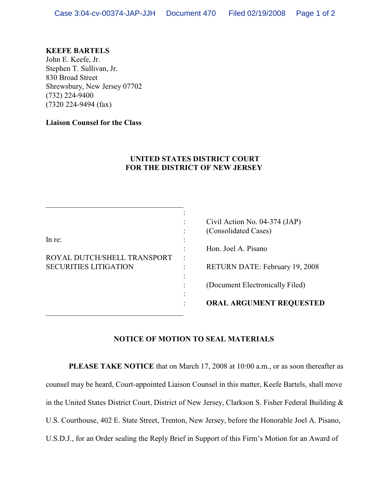### **KEEFE BARTELS**

John E. Keefe, Jr. Stephen T. Sullivan, Jr. 830 Broad Street Shrewsbury, New Jersey 07702 (732) 224-9400 (7320 224-9494 (fax)

### **Liaison Counsel for the Class**

\_\_\_\_\_\_\_\_\_\_\_\_\_\_\_\_\_\_\_\_\_\_\_\_\_\_\_\_\_\_\_\_\_\_\_\_

# **UNITED STATES DISTRICT COURT FOR THE DISTRICT OF NEW JERSEY**

| In re:<br>ROYAL DUTCH/SHELL TRANSPORT<br><b>SECURITIES LITIGATION</b> | Civil Action No. 04-374 (JAP)<br>(Consolidated Cases)<br>Hon. Joel A. Pisano<br>٠<br>RETURN DATE: February 19, 2008<br>(Document Electronically Filed)<br><b>ORAL ARGUMENT REQUESTED</b> |
|-----------------------------------------------------------------------|------------------------------------------------------------------------------------------------------------------------------------------------------------------------------------------|
|-----------------------------------------------------------------------|------------------------------------------------------------------------------------------------------------------------------------------------------------------------------------------|

# **NOTICE OF MOTION TO SEAL MATERIALS**

**PLEASE TAKE NOTICE** that on March 17, 2008 at 10:00 a.m., or as soon thereafter as counsel may be heard, Court-appointed Liaison Counsel in this matter, Keefe Bartels, shall move in the United States District Court, District of New Jersey, Clarkson S. Fisher Federal Building & U.S. Courthouse, 402 E. State Street, Trenton, New Jersey, before the Honorable Joel A. Pisano, U.S.D.J., for an Order sealing the Reply Brief in Support of this Firm's Motion for an Award of